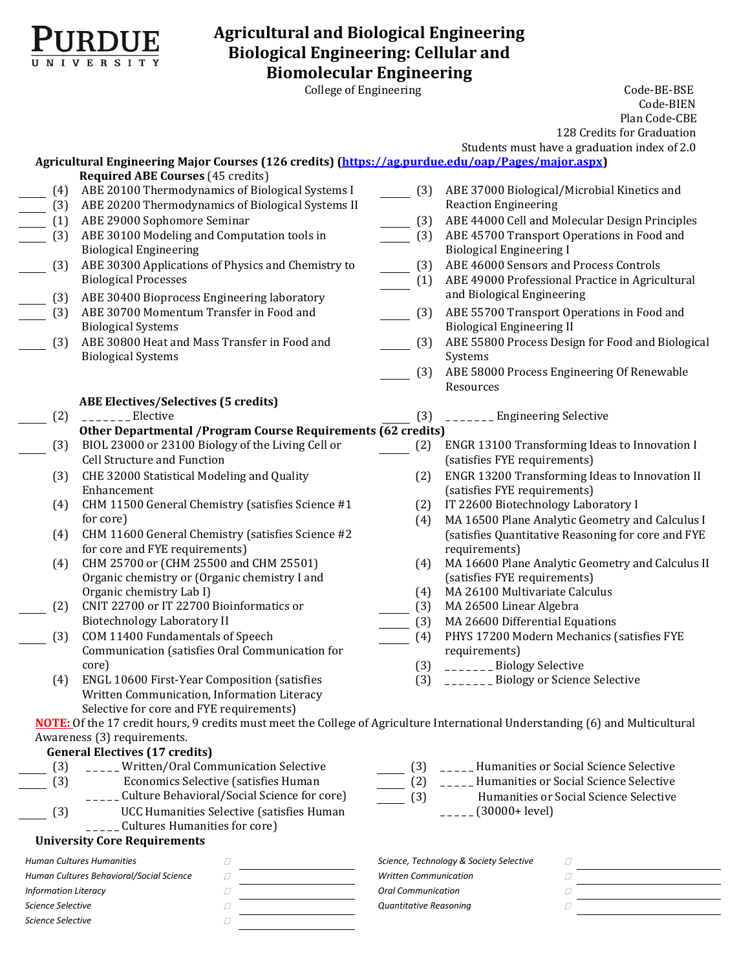

# **Agricultural and Biological Engineering Biological Engineering: Cellular and Biomolecular Engineering**

College of Engineering The Code-BE-BSE Code-BIEN Plan Code-CBE 128 Credits for Graduation

Students must have a graduation index of 2.0

|                             | Agricultural Engineering Major Courses (126 credits) (https://ag.purdue.edu/oap/Pages/major.aspx)                                                                                                                                                                                                         |                              | Students must have a graduation muex or 2.0        |
|-----------------------------|-----------------------------------------------------------------------------------------------------------------------------------------------------------------------------------------------------------------------------------------------------------------------------------------------------------|------------------------------|----------------------------------------------------|
|                             | <b>Required ABE Courses (45 credits)</b>                                                                                                                                                                                                                                                                  |                              |                                                    |
| (4)                         | ABE 20100 Thermodynamics of Biological Systems I                                                                                                                                                                                                                                                          | (3)                          | ABE 37000 Biological/Microbial Kinetics and        |
| (3)                         | ABE 20200 Thermodynamics of Biological Systems II                                                                                                                                                                                                                                                         |                              | <b>Reaction Engineering</b>                        |
| (1)                         | ABE 29000 Sophomore Seminar                                                                                                                                                                                                                                                                               | (3)                          | ABE 44000 Cell and Molecular Design Principles     |
| (3)                         | ABE 30100 Modeling and Computation tools in                                                                                                                                                                                                                                                               | (3)                          | ABE 45700 Transport Operations in Food and         |
|                             | <b>Biological Engineering</b>                                                                                                                                                                                                                                                                             |                              | <b>Biological Engineering I</b>                    |
| (3)                         | ABE 30300 Applications of Physics and Chemistry to                                                                                                                                                                                                                                                        | (3)                          | ABE 46000 Sensors and Process Controls             |
|                             | <b>Biological Processes</b>                                                                                                                                                                                                                                                                               | (1)                          | ABE 49000 Professional Practice in Agricultural    |
| (3)                         | ABE 30400 Bioprocess Engineering laboratory                                                                                                                                                                                                                                                               |                              | and Biological Engineering                         |
| (3)                         | ABE 30700 Momentum Transfer in Food and                                                                                                                                                                                                                                                                   | (3)                          | ABE 55700 Transport Operations in Food and         |
|                             | <b>Biological Systems</b>                                                                                                                                                                                                                                                                                 |                              | <b>Biological Engineering II</b>                   |
| (3)                         | ABE 30800 Heat and Mass Transfer in Food and                                                                                                                                                                                                                                                              | (3)                          | ABE 55800 Process Design for Food and Biological   |
|                             | <b>Biological Systems</b>                                                                                                                                                                                                                                                                                 |                              | Systems                                            |
|                             |                                                                                                                                                                                                                                                                                                           | (3)                          | ABE 58000 Process Engineering Of Renewable         |
|                             |                                                                                                                                                                                                                                                                                                           |                              | Resources                                          |
|                             | <b>ABE Electives/Selectives (5 credits)</b>                                                                                                                                                                                                                                                               |                              |                                                    |
| (2)                         | $\frac{1}{1}$ = $\frac{1}{1}$ = $\frac{1}{1}$ = $\frac{1}{1}$ = $\frac{1}{1}$ = $\frac{1}{1}$ = $\frac{1}{1}$ = $\frac{1}{1}$ = $\frac{1}{1}$ = $\frac{1}{1}$ = $\frac{1}{1}$ = $\frac{1}{1}$ = $\frac{1}{1}$ = $\frac{1}{1}$ = $\frac{1}{1}$ = $\frac{1}{1}$ = $\frac{1}{1}$ = $\frac{1}{1}$ = $\frac{1$ | (3)                          | _______ Engineering Selective                      |
|                             | Other Departmental / Program Course Requirements (62 credits)                                                                                                                                                                                                                                             |                              |                                                    |
| (3)                         | BIOL 23000 or 23100 Biology of the Living Cell or                                                                                                                                                                                                                                                         | (2)                          | ENGR 13100 Transforming Ideas to Innovation I      |
|                             | Cell Structure and Function                                                                                                                                                                                                                                                                               |                              | (satisfies FYE requirements)                       |
| (3)                         | CHE 32000 Statistical Modeling and Quality                                                                                                                                                                                                                                                                | (2)                          | ENGR 13200 Transforming Ideas to Innovation II     |
|                             | Enhancement                                                                                                                                                                                                                                                                                               |                              | (satisfies FYE requirements)                       |
| (4)                         | CHM 11500 General Chemistry (satisfies Science #1                                                                                                                                                                                                                                                         | (2)                          | IT 22600 Biotechnology Laboratory I                |
|                             | for core)                                                                                                                                                                                                                                                                                                 | (4)                          | MA 16500 Plane Analytic Geometry and Calculus I    |
| (4)                         | CHM 11600 General Chemistry (satisfies Science #2                                                                                                                                                                                                                                                         |                              | (satisfies Quantitative Reasoning for core and FYE |
|                             | for core and FYE requirements)                                                                                                                                                                                                                                                                            |                              | requirements)                                      |
| (4)                         | CHM 25700 or (CHM 25500 and CHM 25501)                                                                                                                                                                                                                                                                    | (4)                          | MA 16600 Plane Analytic Geometry and Calculus II   |
|                             | Organic chemistry or (Organic chemistry I and                                                                                                                                                                                                                                                             |                              | (satisfies FYE requirements)                       |
|                             | Organic chemistry Lab I)                                                                                                                                                                                                                                                                                  | (4)                          | MA 26100 Multivariate Calculus                     |
| (2)                         | CNIT 22700 or IT 22700 Bioinformatics or                                                                                                                                                                                                                                                                  | (3)                          | MA 26500 Linear Algebra                            |
|                             | <b>Biotechnology Laboratory II</b>                                                                                                                                                                                                                                                                        | (3)                          | MA 26600 Differential Equations                    |
| (3)                         | COM 11400 Fundamentals of Speech                                                                                                                                                                                                                                                                          | (4)                          | PHYS 17200 Modern Mechanics (satisfies FYE         |
|                             | Communication (satisfies Oral Communication for                                                                                                                                                                                                                                                           |                              | requirements)                                      |
|                             | core)                                                                                                                                                                                                                                                                                                     | (3)                          | _______Biology Selective                           |
| (4)                         | ENGL 10600 First-Year Composition (satisfies                                                                                                                                                                                                                                                              | (3)                          | _______ Biology or Science Selective               |
|                             | Written Communication, Information Literacy                                                                                                                                                                                                                                                               |                              |                                                    |
|                             | Selective for core and FYE requirements)                                                                                                                                                                                                                                                                  |                              |                                                    |
|                             | NOTE: Of the 17 credit hours, 9 credits must meet the College of Agriculture International Understanding (6) and Multicultural                                                                                                                                                                            |                              |                                                    |
|                             | Awareness (3) requirements.                                                                                                                                                                                                                                                                               |                              |                                                    |
|                             | <b>General Electives (17 credits)</b>                                                                                                                                                                                                                                                                     |                              |                                                    |
| (3)                         | _____Written/Oral Communication Selective                                                                                                                                                                                                                                                                 | (3)                          | _____Humanities or Social Science Selective        |
| (3)                         | Economics Selective (satisfies Human                                                                                                                                                                                                                                                                      | (2)                          | Humanities or Social Science Selective             |
|                             | _____ Culture Behavioral/Social Science for core)                                                                                                                                                                                                                                                         | (3)                          | Humanities or Social Science Selective             |
| (3)                         | UCC Humanities Selective (satisfies Human                                                                                                                                                                                                                                                                 |                              | $(30000 + level)$                                  |
|                             | Cultures Humanities for core)                                                                                                                                                                                                                                                                             |                              |                                                    |
|                             | <b>University Core Requirements</b>                                                                                                                                                                                                                                                                       |                              |                                                    |
|                             | $\Box$<br><b>Human Cultures Humanities</b>                                                                                                                                                                                                                                                                |                              | Science, Technology & Society Selective<br>∐       |
|                             | Human Cultures Behavioral/Social Science<br>□                                                                                                                                                                                                                                                             | <b>Written Communication</b> | O                                                  |
| <b>Information Literacy</b> |                                                                                                                                                                                                                                                                                                           | <b>Oral Communication</b>    |                                                    |

*Science Selective Quantitative Reasoning*

*Science Selective*